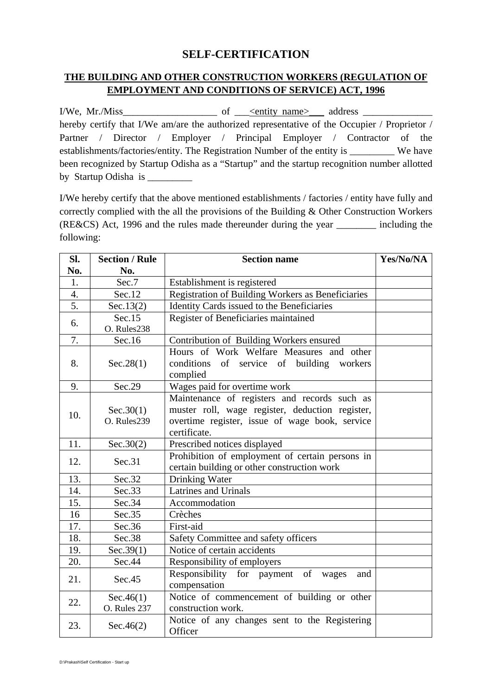# **SELF-CERTIFICATION**

## **THE BUILDING AND OTHER CONSTRUCTION WORKERS (REGULATION OF EMPLOYMENT AND CONDITIONS OF SERVICE) ACT, 1996**

 $I/We$ ,  $Mr.Miss$   $\longrightarrow$  of  $\longrightarrow$  entity name address  $\longrightarrow$ hereby certify that I/We am/are the authorized representative of the Occupier / Proprietor / Partner / Director / Employer / Principal Employer / Contractor of the establishments/factories/entity. The Registration Number of the entity is \_\_\_\_\_\_\_\_\_ We have been recognized by Startup Odisha as a "Startup" and the startup recognition number allotted by Startup Odisha is \_\_\_\_\_\_\_\_\_

I/We hereby certify that the above mentioned establishments / factories / entity have fully and correctly complied with the all the provisions of the Building & Other Construction Workers (RE&CS) Act, 1996 and the rules made thereunder during the year \_\_\_\_\_\_\_\_ including the following:

| SI.              | <b>Section / Rule</b>            | <b>Section name</b>                                                                                                                                               | Yes/No/NA |
|------------------|----------------------------------|-------------------------------------------------------------------------------------------------------------------------------------------------------------------|-----------|
| No.              | No.                              |                                                                                                                                                                   |           |
| 1.               | Sec.7                            | Establishment is registered                                                                                                                                       |           |
| $\overline{4}$ . | Sec.12                           | Registration of Building Workers as Beneficiaries                                                                                                                 |           |
| $\overline{5}$ . | Sec.13(2)                        | Identity Cards issued to the Beneficiaries                                                                                                                        |           |
| 6.               | Sec.15<br>O. Rules238            | Register of Beneficiaries maintained                                                                                                                              |           |
| 7.               | Sec.16                           | Contribution of Building Workers ensured                                                                                                                          |           |
| 8.               | Sec.28(1)                        | Hours of Work Welfare Measures and other<br>conditions<br>of service of building<br>workers<br>complied                                                           |           |
| 9.               | Sec.29                           | Wages paid for overtime work                                                                                                                                      |           |
| 10.              | Sec.30(1)<br>O. Rules239         | Maintenance of registers and records such as<br>muster roll, wage register, deduction register,<br>overtime register, issue of wage book, service<br>certificate. |           |
| 11.              | Sec.30(2)                        | Prescribed notices displayed                                                                                                                                      |           |
| 12.              | Sec.31                           | Prohibition of employment of certain persons in<br>certain building or other construction work                                                                    |           |
| 13.              | Sec.32                           | Drinking Water                                                                                                                                                    |           |
| 14.              | Sec.33                           | <b>Latrines and Urinals</b>                                                                                                                                       |           |
| 15.              | Sec.34                           | Accommodation                                                                                                                                                     |           |
| 16               | Sec.35                           | Crèches                                                                                                                                                           |           |
| 17.              | Sec.36                           | First-aid                                                                                                                                                         |           |
| 18.              | Sec.38                           | Safety Committee and safety officers                                                                                                                              |           |
| 19.              | Sec.39(1)                        | Notice of certain accidents                                                                                                                                       |           |
| 20.              | Sec.44                           | Responsibility of employers                                                                                                                                       |           |
| 21.              | Sec.45                           | Responsibility for payment of<br>wages<br>and<br>compensation                                                                                                     |           |
| 22.              | Sec.46(1)<br><b>O.</b> Rules 237 | Notice of commencement of building or other<br>construction work.                                                                                                 |           |
| 23.              | Sec.46(2)                        | Notice of any changes sent to the Registering<br>Officer                                                                                                          |           |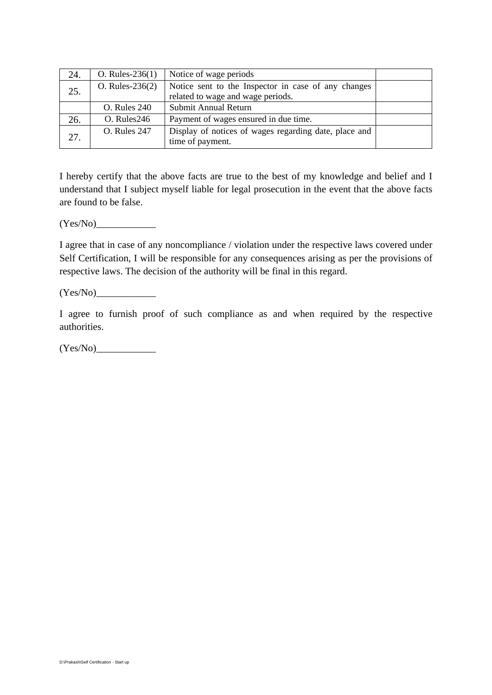| 24. | O. Rules- $236(1)$  | Notice of wage periods                                                                   |  |
|-----|---------------------|------------------------------------------------------------------------------------------|--|
| 25. | $O. Rules-236(2)$   | Notice sent to the Inspector in case of any changes<br>related to wage and wage periods. |  |
|     | <b>O.</b> Rules 240 | Submit Annual Return                                                                     |  |
| 26. | O. Rules246         | Payment of wages ensured in due time.                                                    |  |
| 27. | <b>O.</b> Rules 247 | Display of notices of wages regarding date, place and<br>time of payment.                |  |

I hereby certify that the above facts are true to the best of my knowledge and belief and I understand that I subject myself liable for legal prosecution in the event that the above facts are found to be false.

 $(Yes/No)$ 

I agree that in case of any noncompliance / violation under the respective laws covered under Self Certification, I will be responsible for any consequences arising as per the provisions of respective laws. The decision of the authority will be final in this regard.

 $(Yes/No)$ 

I agree to furnish proof of such compliance as and when required by the respective authorities.

 $(Yes/No)$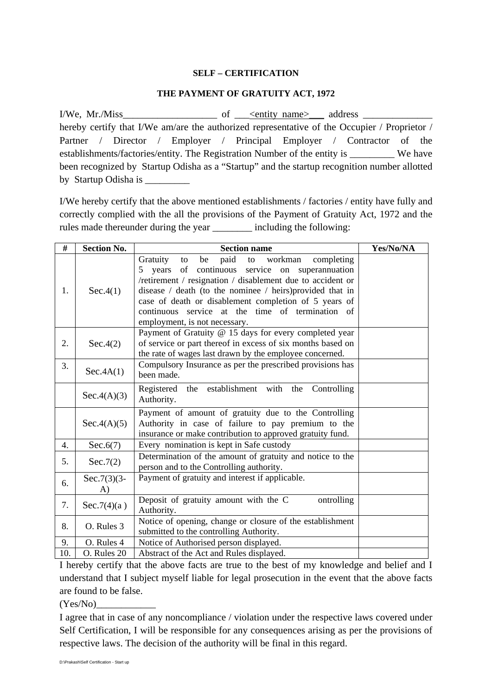## **SELF – CERTIFICATION**

### **THE PAYMENT OF GRATUITY ACT, 1972**

I/We, Mr./Miss\_\_\_\_\_\_\_\_\_\_\_\_\_\_\_\_\_\_\_ of \_\_\_<entity name>\_\_\_ address \_\_\_\_\_\_\_\_\_\_\_\_\_\_ hereby certify that I/We am/are the authorized representative of the Occupier / Proprietor / Partner / Director / Employer / Principal Employer / Contractor of the establishments/factories/entity. The Registration Number of the entity is We have been recognized by Startup Odisha as a "Startup" and the startup recognition number allotted by Startup Odisha is \_\_\_\_\_\_\_\_\_

I/We hereby certify that the above mentioned establishments / factories / entity have fully and correctly complied with the all the provisions of the Payment of Gratuity Act, 1972 and the rules made thereunder during the year \_\_\_\_\_\_\_\_ including the following:

| #   | <b>Section No.</b>             | <b>Section name</b>                                                                                                                                                                                                                                                                                                                                                                        | Yes/No/NA |
|-----|--------------------------------|--------------------------------------------------------------------------------------------------------------------------------------------------------------------------------------------------------------------------------------------------------------------------------------------------------------------------------------------------------------------------------------------|-----------|
| 1.  | Sec.4(1)                       | Gratuity<br>paid<br>completing<br>be<br>workman<br>to<br>to<br>years of continuous service on superannuation<br>5<br>/retirement / resignation / disablement due to accident or<br>disease / death (to the nominee / heirs) provided that in<br>case of death or disablement completion of 5 years of<br>continuous service at the time of termination of<br>employment, is not necessary. |           |
| 2.  | Sec.4(2)                       | Payment of Gratuity @ 15 days for every completed year<br>of service or part thereof in excess of six months based on<br>the rate of wages last drawn by the employee concerned.                                                                                                                                                                                                           |           |
| 3.  | Sec.4A(1)                      | Compulsory Insurance as per the prescribed provisions has<br>been made.                                                                                                                                                                                                                                                                                                                    |           |
|     | Sec.4(A)(3)                    | Registered the establishment with the<br>Controlling<br>Authority.                                                                                                                                                                                                                                                                                                                         |           |
|     | Sec.4(A)(5)                    | Payment of amount of gratuity due to the Controlling<br>Authority in case of failure to pay premium to the<br>insurance or make contribution to approved gratuity fund.                                                                                                                                                                                                                    |           |
| 4.  | Sec.6(7)                       | Every nomination is kept in Safe custody                                                                                                                                                                                                                                                                                                                                                   |           |
| 5.  | Sec.7(2)                       | Determination of the amount of gratuity and notice to the<br>person and to the Controlling authority.                                                                                                                                                                                                                                                                                      |           |
| 6.  | $Sec.7(3)(3-)$<br>$\mathbf{A}$ | Payment of gratuity and interest if applicable.                                                                                                                                                                                                                                                                                                                                            |           |
| 7.  | Sec.7(4)(a)                    | Deposit of gratuity amount with the C<br>ontrolling<br>Authority.                                                                                                                                                                                                                                                                                                                          |           |
| 8.  | O. Rules 3                     | Notice of opening, change or closure of the establishment<br>submitted to the controlling Authority.                                                                                                                                                                                                                                                                                       |           |
| 9.  | O. Rules 4                     | Notice of Authorised person displayed.                                                                                                                                                                                                                                                                                                                                                     |           |
| 10. | O. Rules 20                    | Abstract of the Act and Rules displayed.                                                                                                                                                                                                                                                                                                                                                   |           |

I hereby certify that the above facts are true to the best of my knowledge and belief and I understand that I subject myself liable for legal prosecution in the event that the above facts are found to be false.

 $(Yes/No)$ 

I agree that in case of any noncompliance / violation under the respective laws covered under Self Certification, I will be responsible for any consequences arising as per the provisions of respective laws. The decision of the authority will be final in this regard.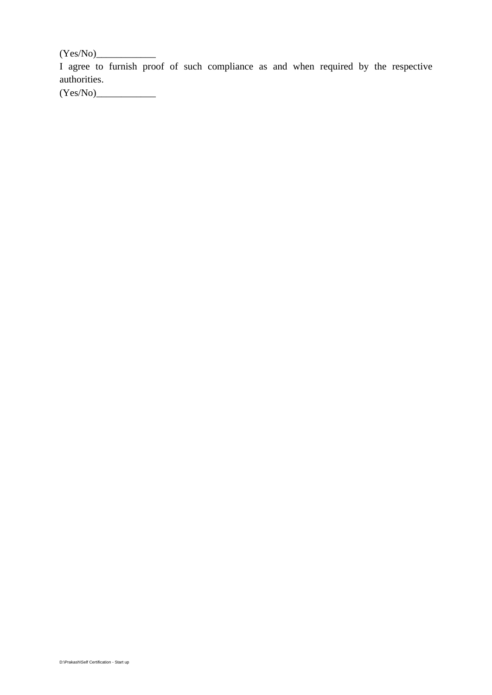$(Yes/No)$ 

I agree to furnish proof of such compliance as and when required by the respective authorities.

(Yes/No)\_\_\_\_\_\_\_\_\_\_\_\_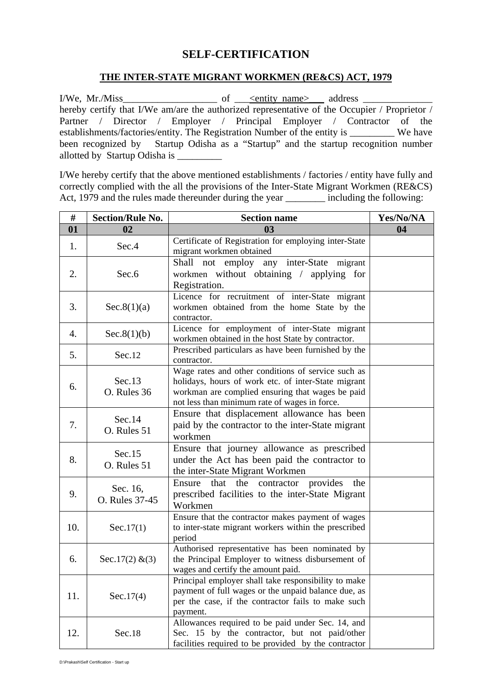# **SELF-CERTIFICATION**

## **THE INTER-STATE MIGRANT WORKMEN (RE&CS) ACT, 1979**

I/We, Mr./Miss\_\_\_\_\_\_\_\_\_\_\_\_\_\_\_\_\_\_\_ of \_\_\_<entity name>\_\_\_ address \_\_\_\_\_\_\_\_\_\_\_\_\_\_ hereby certify that I/We am/are the authorized representative of the Occupier / Proprietor / Partner / Director / Employer / Principal Employer / Contractor of the establishments/factories/entity. The Registration Number of the entity is \_\_\_\_\_\_\_\_\_ We have been recognized by Startup Odisha as a "Startup" and the startup recognition number allotted by Startup Odisha is \_\_\_\_\_\_\_\_\_

I/We hereby certify that the above mentioned establishments / factories / entity have fully and correctly complied with the all the provisions of the Inter-State Migrant Workmen (RE&CS) Act, 1979 and the rules made thereunder during the year \_\_\_\_\_\_\_\_\_ including the following:

| #   | <b>Section/Rule No.</b>    | <b>Section name</b>                                                                                                                                                                                            | Yes/No/NA |
|-----|----------------------------|----------------------------------------------------------------------------------------------------------------------------------------------------------------------------------------------------------------|-----------|
| 01  | 02                         | 0 <sub>3</sub>                                                                                                                                                                                                 | 04        |
| 1.  | Sec.4                      | Certificate of Registration for employing inter-State<br>migrant workmen obtained                                                                                                                              |           |
| 2.  | Sec.6                      | Shall<br>not employ any inter-State migrant<br>workmen without obtaining / applying for<br>Registration.                                                                                                       |           |
| 3.  | Sec.8(1)(a)                | Licence for recruitment of inter-State migrant<br>workmen obtained from the home State by the<br>contractor.                                                                                                   |           |
| 4.  | Sec.8(1)(b)                | Licence for employment of inter-State migrant<br>workmen obtained in the host State by contractor.                                                                                                             |           |
| 5.  | Sec.12                     | Prescribed particulars as have been furnished by the<br>contractor.                                                                                                                                            |           |
| 6.  | Sec.13<br>O. Rules 36      | Wage rates and other conditions of service such as<br>holidays, hours of work etc. of inter-State migrant<br>workman are complied ensuring that wages be paid<br>not less than minimum rate of wages in force. |           |
| 7.  | Sec.14<br>O. Rules 51      | Ensure that displacement allowance has been<br>paid by the contractor to the inter-State migrant<br>workmen                                                                                                    |           |
| 8.  | Sec.15<br>O. Rules 51      | Ensure that journey allowance as prescribed<br>under the Act has been paid the contractor to<br>the inter-State Migrant Workmen                                                                                |           |
| 9.  | Sec. 16,<br>O. Rules 37-45 | that the contractor provides<br>Ensure<br>the<br>prescribed facilities to the inter-State Migrant<br>Workmen                                                                                                   |           |
| 10. | Sec.17(1)                  | Ensure that the contractor makes payment of wages<br>to inter-state migrant workers within the prescribed<br>period                                                                                            |           |
| 6.  | Sec. $17(2)$ & (3)         | Authorised representative has been nominated by<br>the Principal Employer to witness disbursement of<br>wages and certify the amount paid.                                                                     |           |
| 11. | Sec.17(4)                  | Principal employer shall take responsibility to make<br>payment of full wages or the unpaid balance due, as<br>per the case, if the contractor fails to make such<br>payment.                                  |           |
| 12. | Sec.18                     | Allowances required to be paid under Sec. 14, and<br>Sec. 15 by the contractor, but not paid/other<br>facilities required to be provided by the contractor                                                     |           |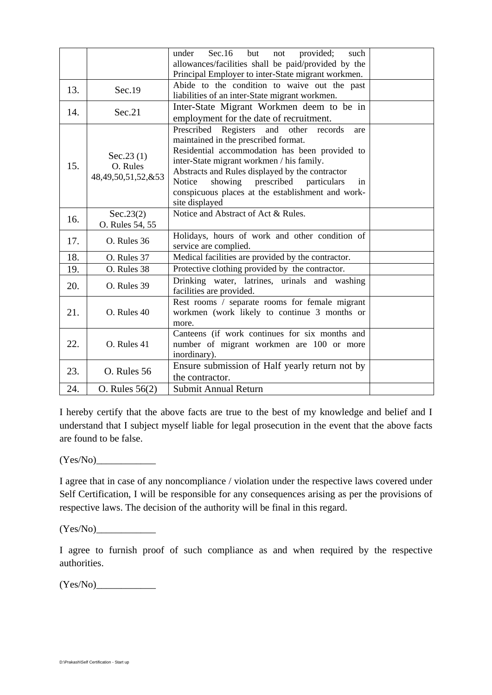|     |                                             | Sec.16<br>but<br>provided;<br>under<br>such<br>not<br>allowances/facilities shall be paid/provided by the<br>Principal Employer to inter-State migrant workmen.                                                                                                                                                                                                        |  |
|-----|---------------------------------------------|------------------------------------------------------------------------------------------------------------------------------------------------------------------------------------------------------------------------------------------------------------------------------------------------------------------------------------------------------------------------|--|
| 13. | Sec.19                                      | Abide to the condition to waive out the past<br>liabilities of an inter-State migrant workmen.                                                                                                                                                                                                                                                                         |  |
| 14. | Sec.21                                      | Inter-State Migrant Workmen deem to be in<br>employment for the date of recruitment.                                                                                                                                                                                                                                                                                   |  |
| 15. | Sec.23(1)<br>O. Rules<br>48,49,50,51,52,&53 | Prescribed Registers and<br>other<br>records<br>are<br>maintained in the prescribed format.<br>Residential accommodation has been provided to<br>inter-State migrant workmen / his family.<br>Abstracts and Rules displayed by the contractor<br>showing prescribed particulars<br>Notice<br>in<br>conspicuous places at the establishment and work-<br>site displayed |  |
| 16. | Sec.23(2)<br>O. Rules 54, 55                | Notice and Abstract of Act & Rules.                                                                                                                                                                                                                                                                                                                                    |  |
| 17. | O. Rules 36                                 | Holidays, hours of work and other condition of<br>service are complied.                                                                                                                                                                                                                                                                                                |  |
| 18. | O. Rules 37                                 | Medical facilities are provided by the contractor.                                                                                                                                                                                                                                                                                                                     |  |
| 19. | O. Rules 38                                 | Protective clothing provided by the contractor.                                                                                                                                                                                                                                                                                                                        |  |
| 20. | O. Rules 39                                 | Drinking water, latrines, urinals and washing<br>facilities are provided.                                                                                                                                                                                                                                                                                              |  |
| 21. | O. Rules 40                                 | Rest rooms / separate rooms for female migrant<br>workmen (work likely to continue 3 months or<br>more.                                                                                                                                                                                                                                                                |  |
| 22. | O. Rules 41                                 | Canteens (if work continues for six months and<br>number of migrant workmen are 100 or more<br>inordinary).                                                                                                                                                                                                                                                            |  |
| 23. | O. Rules 56                                 | Ensure submission of Half yearly return not by<br>the contractor.                                                                                                                                                                                                                                                                                                      |  |
| 24. | O. Rules $56(2)$                            | Submit Annual Return                                                                                                                                                                                                                                                                                                                                                   |  |

I hereby certify that the above facts are true to the best of my knowledge and belief and I understand that I subject myself liable for legal prosecution in the event that the above facts are found to be false.

 $(Yes/No)$ 

I agree that in case of any noncompliance / violation under the respective laws covered under Self Certification, I will be responsible for any consequences arising as per the provisions of respective laws. The decision of the authority will be final in this regard.

 $(Yes/No)$ 

I agree to furnish proof of such compliance as and when required by the respective authorities.

 $(Yes/No)$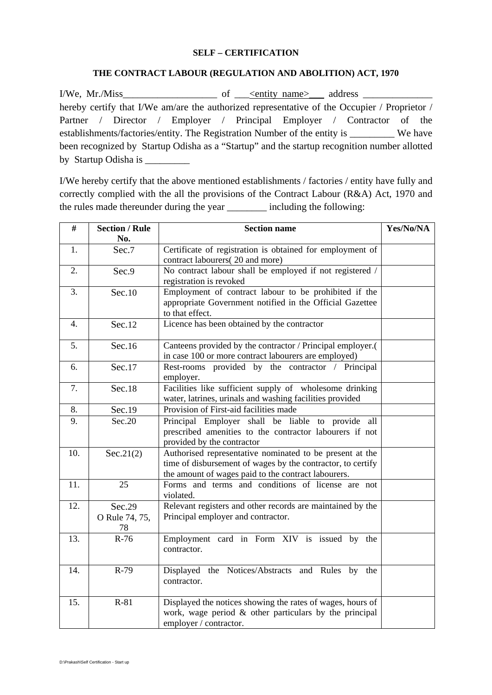#### **SELF – CERTIFICATION**

### **THE CONTRACT LABOUR (REGULATION AND ABOLITION) ACT, 1970**

I/We, Mr./Miss\_\_\_\_\_\_\_\_\_\_\_\_\_\_\_\_\_\_\_ of \_\_\_<entity name>\_\_\_ address \_\_\_\_\_\_\_\_\_\_\_\_\_\_ hereby certify that I/We am/are the authorized representative of the Occupier / Proprietor / Partner / Director / Employer / Principal Employer / Contractor of the establishments/factories/entity. The Registration Number of the entity is We have been recognized by Startup Odisha as a "Startup" and the startup recognition number allotted by Startup Odisha is \_\_\_\_\_\_\_\_\_

I/We hereby certify that the above mentioned establishments / factories / entity have fully and correctly complied with the all the provisions of the Contract Labour (R&A) Act, 1970 and the rules made thereunder during the year \_\_\_\_\_\_\_\_ including the following:

| #   | <b>Section / Rule</b><br>No.   | <b>Section name</b>                                                                                                                                                            | Yes/No/NA |
|-----|--------------------------------|--------------------------------------------------------------------------------------------------------------------------------------------------------------------------------|-----------|
| 1.  | Sec.7                          | Certificate of registration is obtained for employment of<br>contract labourers(20 and more)                                                                                   |           |
| 2.  | Sec.9                          | No contract labour shall be employed if not registered /<br>registration is revoked                                                                                            |           |
| 3.  | Sec.10                         | Employment of contract labour to be prohibited if the<br>appropriate Government notified in the Official Gazettee<br>to that effect.                                           |           |
| 4.  | Sec.12                         | Licence has been obtained by the contractor                                                                                                                                    |           |
| 5.  | Sec.16                         | Canteens provided by the contractor / Principal employer.(<br>in case 100 or more contract labourers are employed)                                                             |           |
| 6.  | Sec.17                         | Rest-rooms provided by the contractor / Principal<br>employer.                                                                                                                 |           |
| 7.  | Sec.18                         | Facilities like sufficient supply of wholesome drinking<br>water, latrines, urinals and washing facilities provided                                                            |           |
| 8.  | Sec.19                         | Provision of First-aid facilities made                                                                                                                                         |           |
| 9.  | Sec.20                         | Principal Employer shall be liable to provide all<br>prescribed amenities to the contractor labourers if not<br>provided by the contractor                                     |           |
| 10. | Sec.21(2)                      | Authorised representative nominated to be present at the<br>time of disbursement of wages by the contractor, to certify<br>the amount of wages paid to the contract labourers. |           |
| 11. | 25                             | Forms and terms and conditions of license are not<br>violated.                                                                                                                 |           |
| 12. | Sec.29<br>O Rule 74, 75,<br>78 | Relevant registers and other records are maintained by the<br>Principal employer and contractor.                                                                               |           |
| 13. | $R-76$                         | Employment card in Form XIV is issued by the<br>contractor.                                                                                                                    |           |
| 14. | $R-79$                         | Displayed the Notices/Abstracts and Rules by the<br>contractor.                                                                                                                |           |
| 15. | $R-81$                         | Displayed the notices showing the rates of wages, hours of<br>work, wage period & other particulars by the principal<br>employer / contractor.                                 |           |